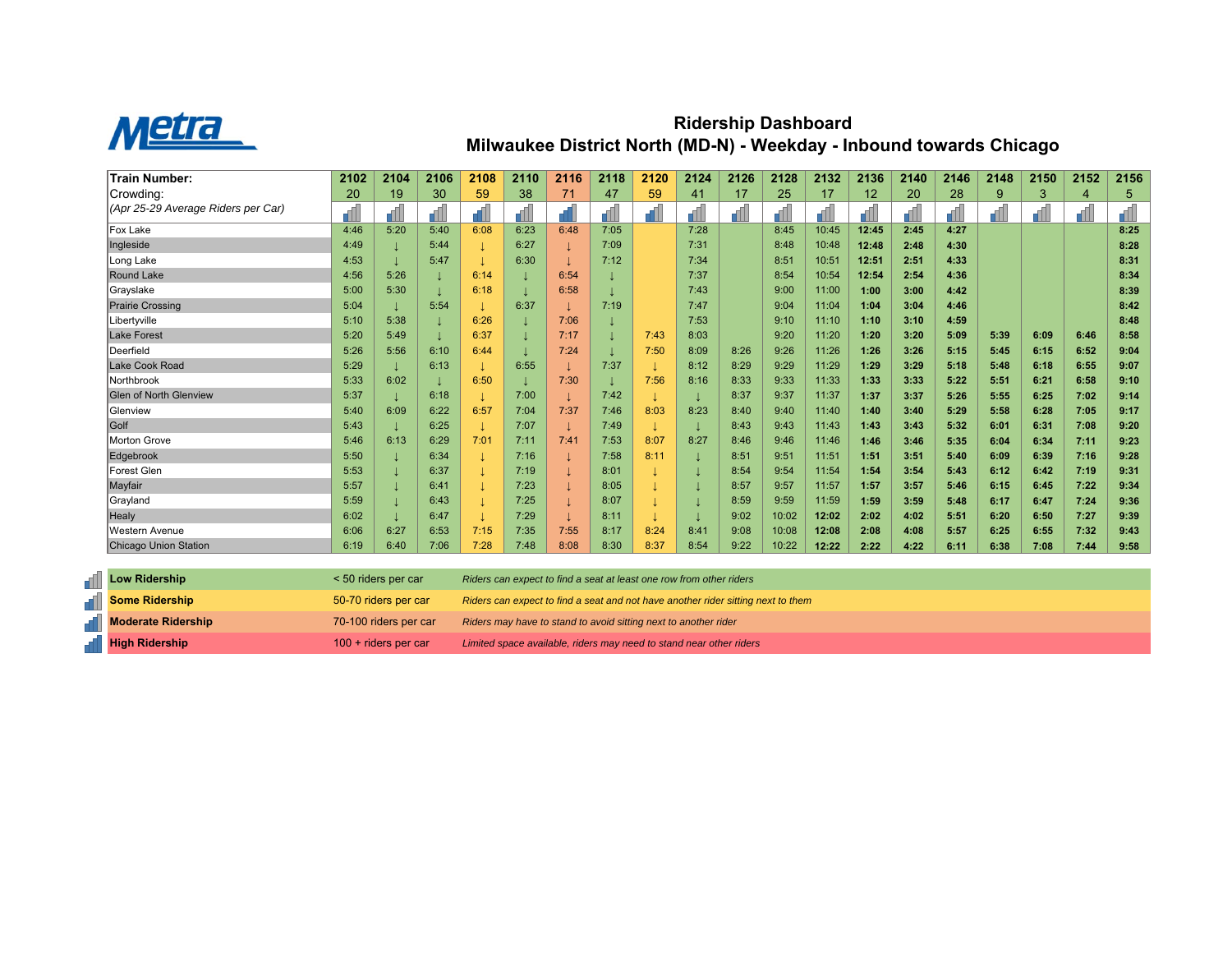

## **Ridership Dashboard Milwaukee District North (MD-N) - Weekday - Inbound towards Chicago**

| <b>Train Number:</b>               | 2102 | 2104 | 2106 | 2108 | 2110 | 2116 | 2118 | 2120 | 2124 | 2126 | 2128  | 2132  | 2136  | 2140 | 2146 | 2148 | 2150 | 2152 | 2156 |
|------------------------------------|------|------|------|------|------|------|------|------|------|------|-------|-------|-------|------|------|------|------|------|------|
| Crowding:                          | 20   | 19   | 30   | 59   | 38   | 71   | 47   | 59   | 41   | 17   | 25    | 17    | 12    | 20   | 28   | 9    | 3    | 4    | 5    |
| (Apr 25-29 Average Riders per Car) |      |      |      |      |      |      |      |      | 61 I |      |       |       |       |      |      |      |      |      | d.   |
| Fox Lake                           | 4:46 | 5:20 | 5:40 | 6:08 | 6:23 | 6:48 | 7:05 |      | 7:28 |      | 8:45  | 10:45 | 12:45 | 2:45 | 4:27 |      |      |      | 8:25 |
| Ingleside                          | 4:49 |      | 5:44 |      | 6:27 |      | 7:09 |      | 7:31 |      | 8:48  | 10:48 | 12:48 | 2:48 | 4:30 |      |      |      | 8:28 |
| Long Lake                          | 4:53 |      | 5:47 |      | 6:30 |      | 7:12 |      | 7:34 |      | 8:51  | 10:51 | 12:51 | 2:51 | 4:33 |      |      |      | 8:31 |
| Round Lake                         | 4:56 | 5:26 |      | 6:14 |      | 6:54 |      |      | 7:37 |      | 8:54  | 10:54 | 12:54 | 2:54 | 4:36 |      |      |      | 8:34 |
| Grayslake                          | 5:00 | 5:30 |      | 6:18 |      | 6:58 |      |      | 7:43 |      | 9:00  | 11:00 | 1:00  | 3:00 | 4:42 |      |      |      | 8:39 |
| <b>Prairie Crossing</b>            | 5:04 |      | 5:54 |      | 6:37 |      | 7:19 |      | 7:47 |      | 9:04  | 11:04 | 1:04  | 3:04 | 4:46 |      |      |      | 8:42 |
| Libertyville                       | 5:10 | 5:38 |      | 6:26 |      | 7:06 |      |      | 7:53 |      | 9:10  | 11:10 | 1:10  | 3:10 | 4:59 |      |      |      | 8:48 |
| <b>Lake Forest</b>                 | 5:20 | 5:49 |      | 6:37 |      | 7:17 |      | 7:43 | 8:03 |      | 9:20  | 11:20 | 1:20  | 3:20 | 5:09 | 5:39 | 6:09 | 6:46 | 8:58 |
| Deerfield                          | 5:26 | 5:56 | 6:10 | 6:44 |      | 7:24 |      | 7:50 | 8:09 | 8:26 | 9:26  | 11:26 | 1:26  | 3:26 | 5:15 | 5:45 | 6:15 | 6:52 | 9:04 |
| Lake Cook Road                     | 5:29 |      | 6:13 |      | 6:55 |      | 7:37 |      | 8:12 | 8:29 | 9:29  | 11:29 | 1:29  | 3:29 | 5:18 | 5.48 | 6:18 | 6:55 | 9:07 |
| Northbrook                         | 5:33 | 6:02 |      | 6:50 |      | 7:30 |      | 7:56 | 8:16 | 8:33 | 9:33  | 11:33 | 1:33  | 3:33 | 5:22 | 5:51 | 6:21 | 6:58 | 9:10 |
| <b>Glen of North Glenview</b>      | 5:37 |      | 6:18 |      | 7:00 |      | 7:42 |      |      | 8:37 | 9:37  | 11:37 | 1:37  | 3:37 | 5:26 | 5:55 | 6:25 | 7:02 | 9:14 |
| <b>Glenview</b>                    | 5:40 | 6:09 | 6:22 | 6:57 | 7:04 | 7:37 | 7:46 | 8:03 | 8:23 | 8:40 | 9:40  | 11:40 | 1:40  | 3:40 | 5:29 | 5:58 | 6:28 | 7:05 | 9:17 |
| Golf                               | 5:43 |      | 6:25 |      | 7:07 |      | 7:49 |      |      | 8:43 | 9:43  | 11:43 | 1:43  | 3:43 | 5:32 | 6:01 | 6:31 | 7:08 | 9:20 |
| Morton Grove                       | 5:46 | 6:13 | 6:29 | 7:01 | 7:11 | 7:41 | 7:53 | 8:07 | 8:27 | 8:46 | 9:46  | 11:46 | 1:46  | 3:46 | 5:35 | 6:04 | 6:34 | 7:11 | 9:23 |
| Edgebrook                          | 5:50 |      | 6:34 |      | 7:16 |      | 7:58 | 8:11 |      | 8:51 | 9:51  | 11:51 | 1:51  | 3:51 | 5:40 | 6:09 | 6:39 | 7:16 | 9:28 |
| Forest Glen                        | 5:53 |      | 6:37 |      | 7:19 |      | 8:01 |      |      | 8:54 | 9:54  | 11:54 | 1:54  | 3:54 | 5:43 | 6:12 | 6:42 | 7:19 | 9:31 |
| Mayfair                            | 5:57 |      | 6:41 |      | 7:23 |      | 8:05 |      |      | 8:57 | 9:57  | 11:57 | 1:57  | 3:57 | 5:46 | 6:15 | 6:45 | 7:22 | 9:34 |
| Grayland                           | 5:59 |      | 6:43 |      | 7:25 |      | 8:07 |      |      | 8:59 | 9:59  | 11:59 | 1:59  | 3:59 | 5:48 | 6:17 | 6:47 | 7:24 | 9:36 |
| Healy                              | 6:02 |      | 6:47 |      | 7:29 |      | 8:11 |      |      | 9:02 | 10:02 | 12:02 | 2:02  | 4:02 | 5:51 | 6:20 | 6:50 | 7:27 | 9:39 |
| Western Avenue                     | 6:06 | 6:27 | 6:53 | 7:15 | 7:35 | 7:55 | 8:17 | 8:24 | 8:41 | 9:08 | 10:08 | 12:08 | 2:08  | 4:08 | 5:57 | 6:25 | 6:55 | 7:32 | 9:43 |
| Chicago Union Station              | 6:19 | 6:40 | 7:06 | 7:28 | 7:48 | 8:08 | 8:30 | 8:37 | 8:54 | 9:22 | 10:22 | 12:22 | 2:22  | 4:22 | 6:11 | 6:38 | 7:08 | 7:44 | 9:58 |

| <b>Low Ridership</b>      | < 50 riders per car    | Riders can expect to find a seat at least one row from other riders              |
|---------------------------|------------------------|----------------------------------------------------------------------------------|
| <b>Some Ridership</b>     | 50-70 riders per car   | Riders can expect to find a seat and not have another rider sitting next to them |
| <b>Moderate Ridership</b> | 70-100 riders per car  | Riders may have to stand to avoid sitting next to another rider                  |
| <b>High Ridership</b>     | $100 +$ riders per car | Limited space available, riders may need to stand near other riders              |